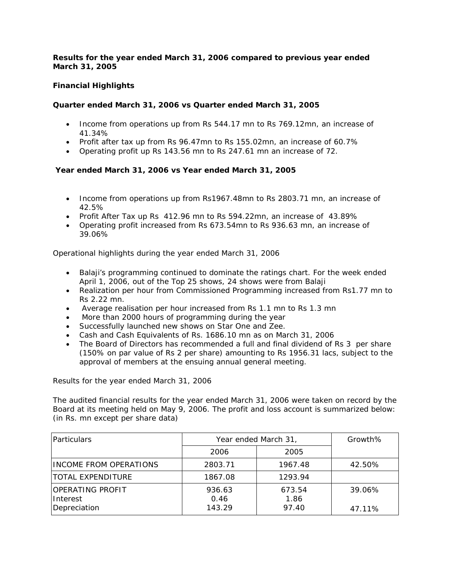## *Results for the year ended March 31, 2006 compared to previous year ended March 31, 2005*

# **Financial Highlights**

## **Quarter ended March 31, 2006 vs Quarter ended March 31, 2005**

- Income from operations up from Rs 544.17 mn to Rs 769.12mn, an increase of 41.34%
- Profit after tax up from Rs 96.47mn to Rs 155.02mn, an increase of 60.7%
- Operating profit up Rs 143.56 mn to Rs 247.61 mn an increase of 72.

### **Year ended March 31, 2006 vs Year ended March 31, 2005**

- Income from operations up from Rs1967.48mn to Rs 2803.71 mn, an increase of 42.5%
- Profit After Tax up Rs 412.96 mn to Rs 594.22mn, an increase of 43.89%
- Operating profit increased from Rs 673.54mn to Rs 936.63 mn, an increase of 39.06%

Operational highlights during the year ended March 31, 2006

- Balaji's programming continued to dominate the ratings chart. For the week ended April 1, 2006, out of the Top 25 shows, 24 shows were from Balaji
- Realization per hour from Commissioned Programming increased from Rs1.77 mn to Rs 2.22 mn.
- Average realisation per hour increased from Rs 1.1 mn to Rs 1.3 mn
- More than 2000 hours of programming during the year
- Successfully launched new shows on Star One and Zee.
- Cash and Cash Equivalents of Rs. 1686.10 mn as on March 31, 2006
- The Board of Directors has recommended a full and final dividend of Rs 3 per share (150% on par value of Rs 2 per share) amounting to Rs 1956.31 lacs, subject to the approval of members at the ensuing annual general meeting.

#### *Results for the year ended March 31, 2006*

The audited financial results for the year ended March 31, 2006 were taken on record by the Board at its meeting held on May 9, 2006. The profit and loss account is summarized below: (in Rs. mn except per share data)

| Particulars                                         | Year ended March 31,     | Growth%                 |                  |
|-----------------------------------------------------|--------------------------|-------------------------|------------------|
|                                                     | 2006                     | 2005                    |                  |
| <b>INCOME FROM OPERATIONS</b>                       | 2803.71                  | 1967.48                 | 42.50%           |
| ITOTAL EXPENDITURE                                  | 1867.08                  | 1293.94                 |                  |
| <b>OPERATING PROFIT</b><br>Interest<br>Depreciation | 936.63<br>0.46<br>143.29 | 673.54<br>1.86<br>97.40 | 39.06%<br>47.11% |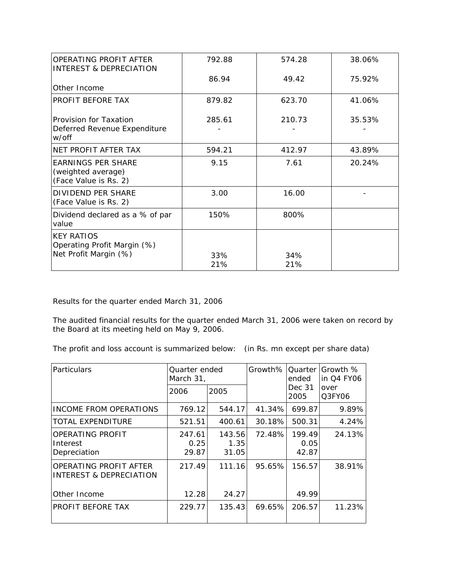| <b>OPERATING PROFIT AFTER</b><br>INTEREST & DEPRECIATION                  | 792.88     | 574.28     | 38.06% |
|---------------------------------------------------------------------------|------------|------------|--------|
|                                                                           | 86.94      | 49.42      | 75.92% |
| Other Income                                                              |            |            |        |
| PROFIT BEFORE TAX                                                         | 879.82     | 623.70     | 41.06% |
| Provision for Taxation<br>Deferred Revenue Expenditure<br>w/off           | 285.61     | 210.73     | 35.53% |
| NET PROFIT AFTER TAX                                                      | 594.21     | 412.97     | 43.89% |
| <b>EARNINGS PER SHARE</b><br>(weighted average)<br>(Face Value is Rs. 2)  | 9.15       | 7.61       | 20.24% |
| <b>DIVIDEND PER SHARE</b><br>(Face Value is Rs. 2)                        | 3.00       | 16.00      |        |
| Dividend declared as a % of par<br>value                                  | 150%       | 800%       |        |
| <b>KEY RATIOS</b><br>Operating Profit Margin (%)<br>Net Profit Margin (%) | 33%<br>21% | 34%<br>21% |        |

*Results for the quarter ended March 31, 2006* 

The audited financial results for the quarter ended March 31, 2006 were taken on record by the Board at its meeting held on May 9, 2006.

The profit and loss account is summarized below: (in Rs. mn except per share data)

| Particulars                                              | Quarter ended<br>March 31, |                         | Growth% | ended                   | Quarter <i>Growth</i> %<br>lin Q4 FY06<br>over<br>Q3FY06 |
|----------------------------------------------------------|----------------------------|-------------------------|---------|-------------------------|----------------------------------------------------------|
|                                                          | 2006                       | 2005                    |         | Dec 31<br>2005          |                                                          |
| INCOME FROM OPERATIONS                                   | 769.12                     | 544.17                  | 41.34%  | 699.87                  | 9.89%                                                    |
| <b>TOTAL EXPENDITURE</b>                                 | 521.51                     | 400.61                  | 30.18%  | 500.31                  | 4.24%                                                    |
| OPERATING PROFIT<br>Interest<br>Depreciation             | 247.61<br>0.25<br>29.87    | 143.56<br>1.35<br>31.05 | 72.48%  | 199.49<br>0.05<br>42.87 | 24.13%                                                   |
| <b>OPERATING PROFIT AFTER</b><br>INTEREST & DEPRECIATION | 217.49                     | 111.16                  | 95.65%  | 156.57                  | 38.91%                                                   |
| Other Income                                             | 12.28                      | 24.27                   |         | 49.99                   |                                                          |
| PROFIT BEFORE TAX                                        | 229.77                     | 135.43                  | 69.65%  | 206.57                  | 11.23%                                                   |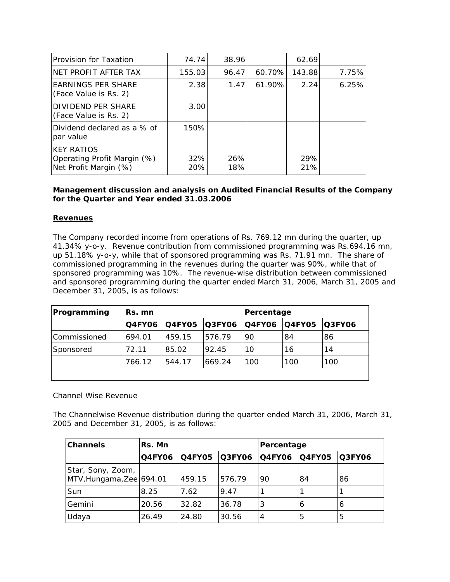| Provision for Taxation                                                    | 74.74      | 38.96      |        | 62.69      |       |
|---------------------------------------------------------------------------|------------|------------|--------|------------|-------|
| NET PROFIT AFTER TAX                                                      | 155.03     | 96.47      | 60.70% | 143.88     | 7.75% |
| <b>EARNINGS PER SHARE</b><br>(Face Value is Rs. 2)                        | 2.38       | 1.47       | 61.90% | 2.24       | 6.25% |
| DIVIDEND PER SHARE<br>(Face Value is Rs. 2)                               | 3.00       |            |        |            |       |
| Dividend declared as a % of<br>par value                                  | 150%       |            |        |            |       |
| <b>KEY RATIOS</b><br>Operating Profit Margin (%)<br>Net Profit Margin (%) | 32%<br>20% | 26%<br>18% |        | 29%<br>21% |       |

## *Management discussion and analysis on Audited Financial Results of the Company for the Quarter and Year ended 31.03.2006*

## **Revenues**

The Company recorded income from operations of Rs. 769.12 mn during the quarter, up 41.34% y-o-y. Revenue contribution from commissioned programming was Rs.694.16 mn, up 51.18% y-o-y, while that of sponsored programming was Rs. 71.91 mn. The share of commissioned programming in the revenues during the quarter was 90%, while that of sponsored programming was 10%. The revenue-wise distribution between commissioned and sponsored programming during the quarter ended March 31, 2006, March 31, 2005 and December 31, 2005, is as follows:

| Programming  | Rs. mn        |        |               | Percentage    |               |                |
|--------------|---------------|--------|---------------|---------------|---------------|----------------|
|              | <b>Q4FY06</b> | Q4FY05 | <b>Q3FY06</b> | <b>Q4FY06</b> | <b>Q4FY05</b> | <b>IQ3FY06</b> |
| Commissioned | 694.01        | 459.15 | 576.79        | 90            | 84            | 86             |
| Sponsored    | 72.11         | 85.02  | 92.45         | 10            | 16            | 14             |
|              | 766.12        | 544.17 | 669.24        | 100           | 100           | 100            |
|              |               |        |               |               |               |                |

### Channel Wise Revenue

The Channelwise Revenue distribution during the quarter ended March 31, 2006, March 31, 2005 and December 31, 2005, is as follows:

| <b>Channels</b>                                 | Rs. Mn        |               |               | Percentage     |               |               |
|-------------------------------------------------|---------------|---------------|---------------|----------------|---------------|---------------|
|                                                 | <b>Q4FY06</b> | <b>Q4FY05</b> | <b>Q3FY06</b> | <b>Q4FY06</b>  | <b>Q4FY05</b> | <b>Q3FY06</b> |
| Star, Sony, Zoom, I<br>MTV, Hungama, Zee 694.01 |               | 459.15        | 576.79        | -90            | 84            | 86            |
| Sun                                             | 8.25          | 7.62          | 9.47          |                |               |               |
| Gemini                                          | 20.56         | 32.82         | 36.78         | 3              | O             | O             |
| Udaya                                           | 26.49         | 24.80         | 30.56         | $\overline{4}$ | 5             | 5             |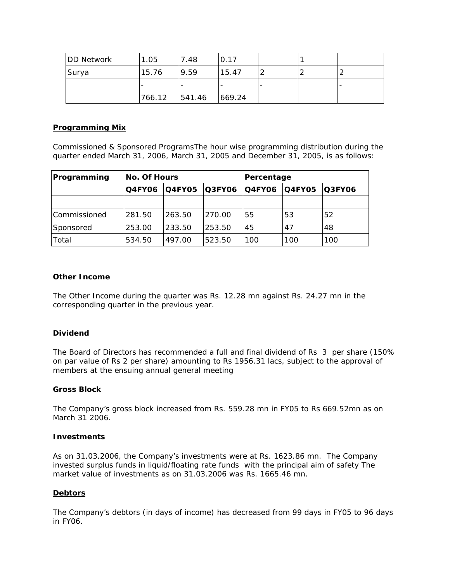| <b>DD Network</b> | 1.05   | 7.48   | 0.17    |  |  |
|-------------------|--------|--------|---------|--|--|
| Surya             | 15.76  | 9.59   | 15.47   |  |  |
|                   |        |        |         |  |  |
|                   | 766.12 | 541.46 | 1669.24 |  |  |

## *Programming Mix*

Commissioned & Sponsored ProgramsThe hour wise programming distribution during the quarter ended March 31, 2006, March 31, 2005 and December 31, 2005, is as follows:

| Programming  | <b>No. Of Hours</b>                             |        |               | Percentage |                |     |
|--------------|-------------------------------------------------|--------|---------------|------------|----------------|-----|
|              | <b>Q4FY05</b><br><b>Q3FY06</b><br><b>Q4FY06</b> |        | <b>Q4FY06</b> | IQ4FY05    | <b>IQ3FY06</b> |     |
|              |                                                 |        |               |            |                |     |
| Commissioned | 281.50                                          | 263.50 | 270.00        | 55         | 53             | 52  |
| Sponsored    | 253.00                                          | 233.50 | 253.50        | 45         | 47             | 48  |
| Total        | 534.50                                          | 497.00 | 523.50        | 100        | 100            | 100 |

# **Other Income**

The Other Income during the quarter was Rs. 12.28 mn against Rs. 24.27 mn in the corresponding quarter in the previous year.

### **Dividend**

The Board of Directors has recommended a full and final dividend of Rs 3 per share (150% on par value of Rs 2 per share) amounting to Rs 1956.31 lacs, subject to the approval of members at the ensuing annual general meeting

#### **Gross Block**

The Company's gross block increased from Rs. 559.28 mn in FY05 to Rs 669.52mn as on March 31 2006.

#### **Investments**

As on 31.03.2006, the Company's investments were at Rs. 1623.86 mn. The Company invested surplus funds in liquid/floating rate funds with the principal aim of safety *The market value of investments as on 31.03.2006 was Rs. 1665.46 mn.*

### **Debtors**

The Company's debtors (in days of income) has decreased from 99 days in FY05 to 96 days in FY06.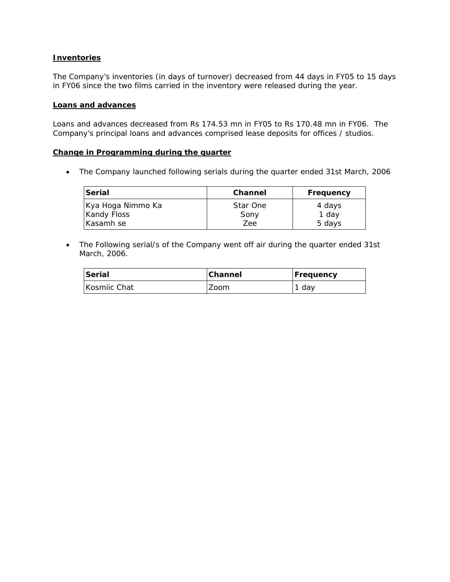### **Inventories**

The Company's inventories (in days of turnover) decreased from 44 days in FY05 to 15 days in FY06 since the two films carried in the inventory were released during the year.

#### **Loans and advances**

Loans and advances decreased from Rs 174.53 mn in FY05 to Rs 170.48 mn in FY06. The Company's principal loans and advances comprised lease deposits for offices / studios.

#### **Change in Programming during the quarter**

• The Company launched following serials during the quarter ended 31st March, 2006

| Serial                                  | <b>Channel</b>   | Frequency       |
|-----------------------------------------|------------------|-----------------|
| Kya Hoga Nimmo Ka<br><b>Kandy Floss</b> | Star One<br>Sony | 4 days<br>1 day |
| Kasamh se                               | Zee              | 5 days          |

• The Following serial/s of the Company went off air during the quarter ended 31st March, 2006.

| Serial       | <b>Channel</b> | Frequency |
|--------------|----------------|-----------|
| Kosmiic Chat | Zoom           | 1 day     |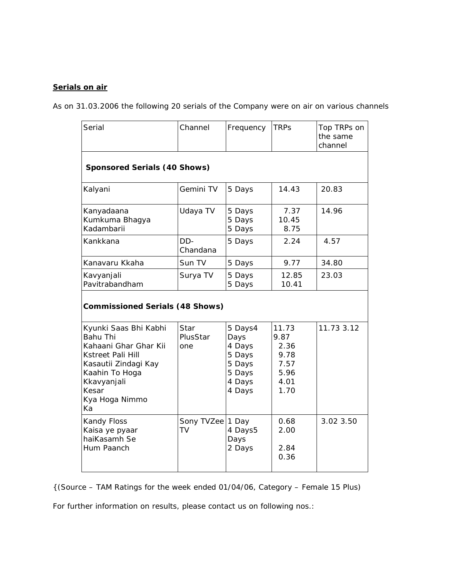## **Serials on air**

*As on 31.03.2006 the following 20 serials of the Company were on air on various channels* 

| Serial                                                                                                                                                                           | Channel                             | Frequency                                                                   | <b>TRPs</b>                                                   | Top TRPs on<br>the same<br>channel |  |  |  |  |
|----------------------------------------------------------------------------------------------------------------------------------------------------------------------------------|-------------------------------------|-----------------------------------------------------------------------------|---------------------------------------------------------------|------------------------------------|--|--|--|--|
|                                                                                                                                                                                  | <b>Sponsored Serials (40 Shows)</b> |                                                                             |                                                               |                                    |  |  |  |  |
| Kalyani                                                                                                                                                                          | Gemini TV                           | 5 Days                                                                      | 14.43                                                         | 20.83                              |  |  |  |  |
| Kanyadaana<br>Kumkuma Bhagya<br>Kadambarii                                                                                                                                       | Udaya TV                            | 5 Days<br>5 Days<br>5 Days                                                  | 7.37<br>10.45<br>8.75                                         | 14.96                              |  |  |  |  |
| Kankkana                                                                                                                                                                         | DD-<br>Chandana                     | 5 Days                                                                      | 2.24                                                          | 4.57                               |  |  |  |  |
| Kanavaru Kkaha                                                                                                                                                                   | Sun TV                              | 5 Days                                                                      | 9.77                                                          | 34.80                              |  |  |  |  |
| Kavyanjali<br>Pavitrabandham                                                                                                                                                     | Surya TV                            | 5 Days<br>5 Days                                                            | 12.85<br>10.41                                                | 23.03                              |  |  |  |  |
| <b>Commissioned Serials (48 Shows)</b>                                                                                                                                           |                                     |                                                                             |                                                               |                                    |  |  |  |  |
| Kyunki Saas Bhi Kabhi<br><b>Bahu Thi</b><br>Kahaani Ghar Ghar Kii<br>Kstreet Pali Hill<br>Kasautii Zindagi Kay<br>Kaahin To Hoga<br>Kkavyanjali<br>Kesar<br>Kya Hoga Nimmo<br>Ka | Star<br>PlusStar<br>one             | 5 Days4<br>Days<br>4 Days<br>5 Days<br>5 Days<br>5 Days<br>4 Days<br>4 Days | 11.73<br>9.87<br>2.36<br>9.78<br>7.57<br>5.96<br>4.01<br>1.70 | 11.73 3.12                         |  |  |  |  |
| Kandy Floss<br>Kaisa ye pyaar<br>haiKasamh Se<br>Hum Paanch                                                                                                                      | Sony TVZee 1 Day<br>TV              | 4 Days5<br>Days<br>2 Days                                                   | 0.68<br>2.00<br>2.84<br>0.36                                  | 3.02 3.50                          |  |  |  |  |

*{(Source – TAM Ratings for the week ended 01/04/06, Category – Female 15 Plus)*

For further information on results, please contact us on following nos.: